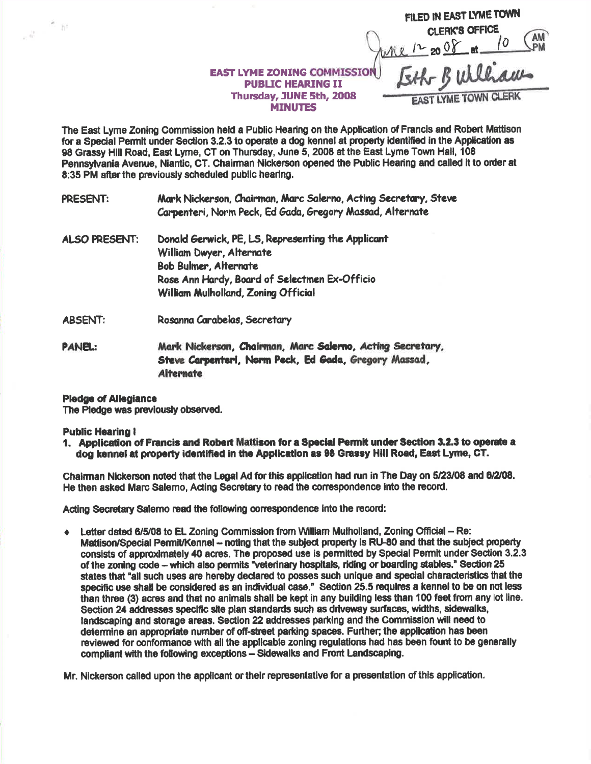|                                                                        | FILED IN EAST LYME TOWN               |
|------------------------------------------------------------------------|---------------------------------------|
|                                                                        | <b>CLERK'S OFFICE</b><br>$12$ on $08$ |
| <b>EAST LYME ZONING COMMISSION</b>                                     | & Builhams                            |
| <b>PUBLIC HEARING II</b><br>Thursday, JUNE 5th, 2008<br><b>MINUTES</b> | <b>EAST LYME TOWN CLERK</b>           |

The East Lyme Zoning Commisslon held a Public Hearing on the Application of Francis and Robert Mattison for a Special Permit under Section 3.2.3 to operate a dog kennel at property identified in the Application as 98 Grassy Hill Road, East Lyme, CT on Thursday, June 5, 2008 at the East Lyme Town Hall, 108 Pennsylvania Avenue, Niantic, CT. Chairman Nickerson opened the Public Hearing and called it to order at 8:35 PM after the previously scheduled public hearing.

PRESENT: Mark Nickerson, Chairman, Marc Salerno, Acting Secretary, Steve Carpenteri, Norm Peck, Ed Gada, Gregory Massad, Alternate

- ALSO PRESENT: Donald Gerwick, PE, LS, Representing the Applicant William Dwyer, Alternate Bob Bulmer, Alternate Rose Ann Hardy, Board of Selectmen Ex-Officio William Mulholland. Zonina Official
- ABSENT: Rosanna Carabelas, Secretary
- PANEL: Mark Nickerson, Chairman, Marc Salerno, Acting Secretary, Steve Carpenteri, Norm Peck, Ed Gada, Gregory Massad, **Alternate**

## Pledge of Allegiance

The Pledge was previously observed.

## **Public Hearing I**

fi ist

 $e^{\frac{2\pi}{3k}}$  .

1. Application of Francis and Robert Mattison for a Special Permit under Section 3.2.3 to operate a dog kennel at property identified in the Application as 98 Grassy Hill Road, East Lyme, CT.

Chalman Nickerson noted that the Legal Ad for this application had run in The Day on 5/23/08 and 6/2/08. He then asked Marc Salerno, Acting Secretary to read the correspondence into the record.

Acting Secretary Salemo read the following correspondence into the record:

Letter dated 6/5/08 to EL Zoning Commission from William Mulholland, Zoning Official - Re: Mattison/Special Permit/Kennel -- noting that the subject property is RU-80 and that the subject property consists of approximately 40 acres. The proposed use is permitted by Special Permit under Section 3.2.3 of the zoning code - which also permits "veterinary hospitals, riding or boarding stables." Section 25 states that "all such uses are hemby declared to posses suoh unlque and spodal cheraderistics that the specific use shall be considered as an individual case." Section 25.5 requires a kennel to be on not less than three (3) acres and that no animals shall be kept in any building less than 100 feet from any lot line. Section 24 addresses specific site plan standards such as driveway surfaces, widths, sidewalks, landscaping and storage areas. Section 22 addresses parking and the Commission will need to determine an appropriate number of off-street parking spaces. Further; the application has been reviewed for conformance with all the applicable zoning regulations had has been fount to be generally compliant with the following exceptions - Sidewalks and Front Landscaping.

Mr. Nickerson called upon the applicant or their representative for a presentation of this application.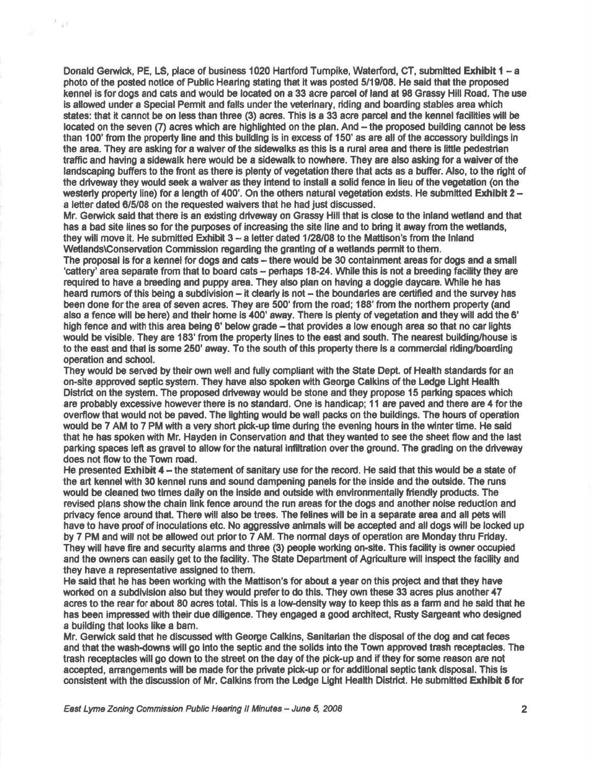Donald Gerwick, PE, LS, place of business 1020 Hartford Turnpike, Waterford, CT, submitted Exhibit 1 - a photo of the posted notice of Public Hearing stating that it was posted 5/19/08. He said that the proposed kennel is for dogs and cats and would be located on a 33 acre parcel of land at 98 Grassy Hill Road. The use is allowed under a Special Permit and falls under the veterinary, riding and boarding stables area which states: that it cannot be on less than three (3) acres. This is a 33 acre parcel and the kennel fadlities will be located on the seven (7) acres which are highlighted on the plan. And – the proposed building cannot be less than 100' from the property line and this building is in excess of 150' as are all of the accessory buildings in the area. They are asking for a waiver of the sidewalks as this is a rural area and there is little pedestrian traffic and having a sidewalk here would be a sidewalk to nowhere. They are also asking for a waiver of the landscaping buffers to the front as there is plenty of vegetation there that acts as a buffer. Also, to the right of the driveway they would seek a waiver as they intend to install a solid fence in lieu of the vegetation (on the westerly property line) for a length of 400'. On the others natural vegetation exists. He submitted Exhibit  $2$ a letter dated 6/5/08 on the requested waivers that he had just discussed

 $^{\rm 15}$  gH

Mr. Gerwick said that there is an existing driveway on Grassy Hill that is close to the inland wetland and that has a bad site lines so for the purposes of increasing the site line and to bring it away from the wetlands, they will move it. He submitted Exhibit  $3 - a$  letter dated  $1/28/08$  to the Mattison's from the Inland Wetlands\Conservation Commission regarding the granting of a wetlands permit to them.

The proposal is for a kennel for dogs and cats – there would be 30 containment areas for dogs and a small 'cattery' area separate from that to board cats - perhaps 18-24. While this is not a breeding facility they are required to have a breeding and puppy area. They also plan on having a doggie daycare. While he has heard rumors of this being a subdivision – it clearly is not – the boundaries are certified and the survey has been done for the area of seven acres. They are 500' from the road; 188' from the northem property (and also a fence wlll be here) and thelr home is 400' away. There is plenty of vegetetion and they will add the 6' high fence and with this area being 6' below grade -- that provides a low enough area so that no car lights would be visible. They are 183' from the property lines to the east and south. The nearest building/house is to the east and that is some 250' away. To the south of this property there is a commercial riding/boarding operation and school.

They would be served by their own well and fully compliant with the State Dept. of Health standards for an on-site apprcved septic system. They have also spoken with Geoge Galkins of the Ledge Ught Health District on the system. The proposed driveway would be stone and they propose 15 parking spaces which are probably excessive however there is no standard. One is handicap; 11 are paved and there are 4 for the overflow that would not be paved. The lighting would be wall packs on the buildings. The hours of operation would be 7 AM to 7 PM with a very short pick-up time during the evening hours in the winter time. He said that he has spoken with Mr. Hayden in Conservation and that they wanted to see the sheet flow and the last parking spaces left as gravel to allow for the natural infiltration over the ground. The grading on the driveway does not flow to the Town road.

He presented  $\texttt{Exhibit 4 -- the statement of an array use for the record. He said that this would be a state of$ the art kennel with 30 kennel runs and sound dampening panels for the inside and the outside. The runs would be cleaned two times daily on the inside and outside with environmentally friendly products. The revised plans show the chain link fence around the run areas for the dogs and another noise reduction and privacy fence around that. There will also be trees. The felines will be in a separate area and all pets will have to have proof of inoculations etc. No aggressive animals will be accepted and all dogs will be locked up by 7 PM and will not be allowed out prior to 7 AM. The normal days of operation are Monday thru Friday. They will have fire and security alarms and three (3) people worting on-site. This facilfty is owner occupied and the owners can easily get to the facility. The State Department of Agriculture will inspect the facility and they have a representative assigned to them.

He said that he has been working with the Mattison's for about a year on this project and that they have worked on a subdivision also but they would prefer to do this. They own these 33 acres plus another 47 acres to the rear for about 80 acres total. This is a low-density way to keep this as a farm and he said that he has been impressed with their due diligence. They engaged a good architect, Rusty Sargeant who designed a building that looks like a bam.

Mr. Gerwick said that he discussed with George Calkins, Sanitarian the disposal of the dog and cat feces and that the wash-downs will go into the septic and the solids into the Town approved trash receptacles. The trash receptacles will go down to the street on the day of the pick-up and if they for some reason are not accepted, arrangements will be made for the private pick-up or for additional septic tank disposal. This is consistent with the discussion of Mr. Calkins from the Ledge Light Health District. He submitted Exhibit 5 for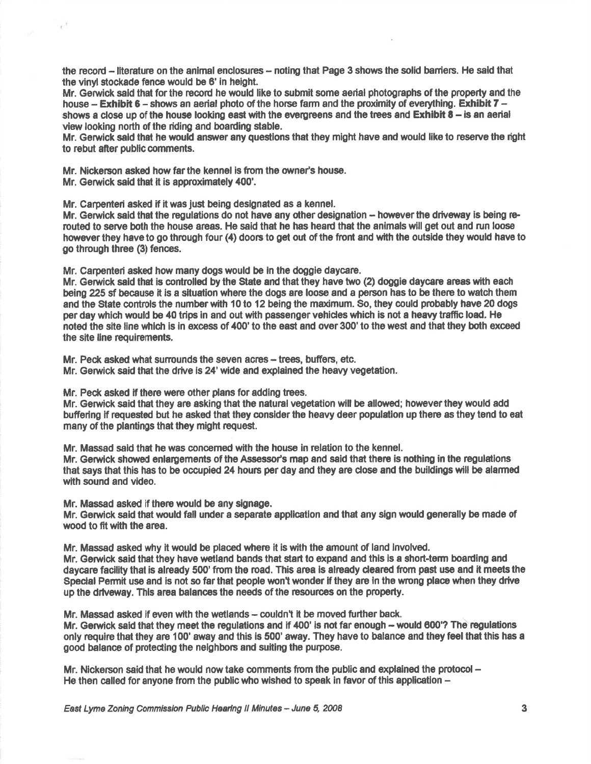the record – literature on the animal enclosures – noting that Page 3 shows the solid barriers. He said that the vinyl stockade fence would be 6' in height.

Mr. Gerwick sald that forthe record he would like to submit some aefial photographs of the property and the house  $-$  Exhibit 6 - shows an aerial photo of the horse farm and the proximity of everything. Exhibit 7 shows a close up of the house looking east with the evergreens and the trees and  $\sf{Exhibit}$  8 – is an aerial view looking north of the riding and boarding stable.

Mr. Gerwick said that he would answer any questions that they might have and would like to reserve the right to rebut after public comments.

Mr. Nickerson asked how far the kennel is from the owner's house.

Mr. Gerwick said that it is approximately 400'.

 $\tilde{t}^{1,2}$ 

Mr. Carpenteri asked if it was just being designated as a kennel

Mr. Gerwick said that the regulations do not have any other designation -- however the driveway is being rerouted to serve both the house areas. He said that he has heard that the animals will get out and run loose however they have to go through four (4) doors to get out of the front and with the outside they would have to go through three (3) fences.

Mr. Carpenteri asked how many dogs would be in the doggie daycare.

Mr. Gerwick sald that is controlled by the State and that they have two (2) doggie daycare areas with each being 225 sf because it is a situation where the dogs are loose and a person has to be there to watch them and the State controls the numberwith 10 to 12 being the maximum. So, they could probably have 20 dogs per day which would be 40 trips in and out with passenger vehicles which is not a heavy traffic load. He noted the site line which is in excess of 400' to the east and over 300' to the west and that they both exceed the site line requirements.

Mr. Peck asked what surrounds the seven acres – trees, buffers, etc. Mr. Gerwick said that the drive is 24' wide and explained the heavy vegetation.

Mr. Peck asked if there were other plans for adding trees.

Mr. Gerwick said that they are asking that the natural vegetation will be allowed; however they would add buffering if requested but he asked that they consider the heavy deer population up there as they tend to eat many of the plantings that they might request.

Mr. Massad said that he was concemed with the house in relation to the kennel.

Mr. Gerwick showed enlargements of the Assessor's map and said that there is nothing in the regulations that says that this has to be occupied 24 hours per day and they are close and the bulldings will be alamed with sound and video.

Mr. Massad asked if there would be any signage.

Mr. Gerwick said that would fall under a separate application and that any sign would generally be made of wood to fit with the area,

Mr. Massad asked why it would be placed where it is with the amount of land involved.

Mr. Gerwick said that they have wetland bands that start to expand and this is a short-term boarding and daycare facility that is already 500' from the road. This area is already deared from past use and it meets the Special Permit use and is not so far that people won't wonder if they are in the wrong place when they drive up the drlveway. Thls area balances the needs of the resounces on the property.

Mr. Massad asked if even with the wetlands - couldn't it be moved further back.

Mr. Gerwick said that they meet the regulations and if 400' is not far enough - would 600'? The regulations only require that they are 100' away and this is 500' away. They have to balance and they feel that this has a good balance of protecting the neighbors and suiting the purpose.

Mr. Nickerson said that he would now take comments from the public and explained the protocol -He then called for anyone from the public who wished to speak in favor of this application  $-$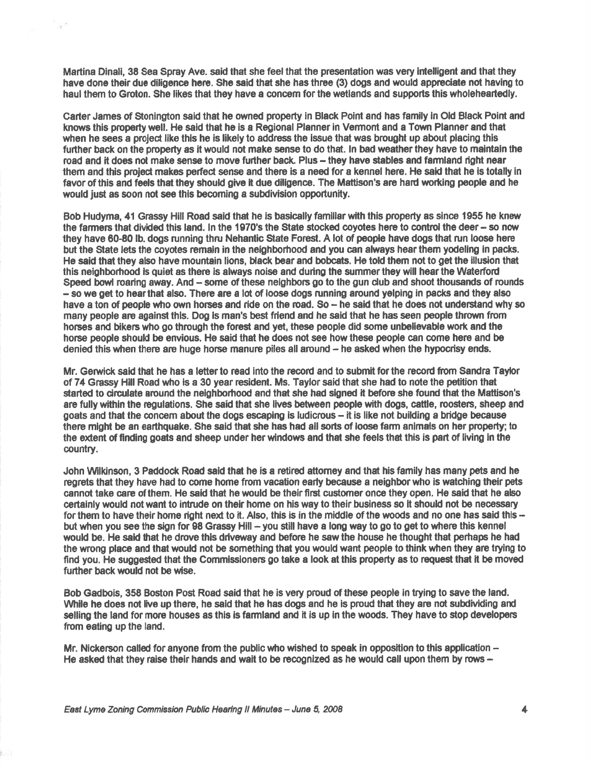Martina Dinali, 38 Sea Spray Ave. said that she feel that the presentation was very intelligent and that they have done their due diligence here. She said that she has three (3) dogs and would appreciate not having to haul them to Groton. She likes that they have a concem for the wetlands and supports this wholeheartedly.

¥

Carter James of Stonington said that he owned property in Black Point and has family in Old Black Point and knows this property well. He said that he is a Regional Planner in Vermont and a Town Planner and that when he sees a project like this he is likely to address the issue that was brought up about placing this further back on the property as it would not make sense to do that. In bad weather they have to maintain the road and it does not make sense to move further back. Plus – they have stables and farmland right near them and this project makes perfect sense and there is a need for a kennel here. He said that he is totally in favor of this and feels that they should give it due diligence. The Mattison's are hard working people and he would just as soon nd see thls becoming a subdivision opportunity.

Bob Hudyma, 41 Grassy Hill Road said that he is basically familiar with this property as since 1955 he knew the farmers that divided this land. In the 1970's the State stocked coyotes here to control the deer - so now they have 60-80 lb. dogs running thru Nehantic State Forest. A lot of people have dogs that run loose here but the State lets the coyotes remain in the neighborhood and you can always hear them yodeling in packs. He sald that they also have mountain lions, black bear and bobcets. He told them not to get the illusion that this neighborhood is quiet as there is always noise and during the summer they will hear the Waterford Speed bowl roaring away. And - some of these neighbors go to the gun club and shoot thousands of rounds - so we get to hear that also. There are a lot of loose dogs running around yelping in packs and they also have a ton of people who own horses and ride on the road. So - he said that he does not understand why so many people are against this. Dog is man's best friend and he said that he has seen people thrown from horses and bikers who go through the forest and yet, these people did some unbelievable work and the horse people should be envious. He said that he does not see how these people can come here and be denied this when there are huge horse manure piles all around - he asked when the hypocrisy ends.

Mr. Gerwick said that he has a letter to read into the record and to submit for the record from Sandra Taylor of 74 Gnassy Hill Road wtro is a 30 year resident. Ms. Taylor said that she had to note the petition that started to circulate around the neighborhood and that she had signed it before she found that the Mattison's are fully within the regulations. She said that she lives between people with dogs, cattle, roosters, sheep and goats and that the concem about the dogs escaping is ludicrous - it is like not building a bridge because there might be an earthquake. She said that she has had all sorts of loose farm animals on her property; to the extent of finding goats and sheep under her windows and that she feels that this is part of living in the country.

John Wilkinson, 3 Paddock Road said that he is a retired attomey and that his family has many pets and he regrets that they have had to come home from vacation early because a neighborwho is watching their pets cannot take care of them. He said that he would be their first customer once they open. He said that he also certainly would not want to intrude on their home on his way to their business so it should not be necessary for them to have their home right next to it. Also, this is in the middle of the woods and no one has said this  $$ but when you see the sign for 98 Grassy Hill – you still have a long way to go to get to where this kennel would be. He said that he drove this driveway and before he saw the house he thought that perhaps he had the wrong place and that would not be something that you would want people to think when they are trying to find you. He suggested that the Commissioners go take a look at this property as to request that it be moved further back would not be wise.

Bob Gadbois, 358 Boston Post Road said that he is very proud of these people in trying to save the land. While he does not live up there, he said that he has dogs and he is proud that they are not subdividing and selling the land for more houses as this is farmland and it is up in the woods. They have to stop developers from eating up the land.

Mr. Nickerson called for anyone from the public who wished to speak in opposition to this application  $-$ He asked that they raise their hands and wait to be recognized as he would call upon them by rows  $-$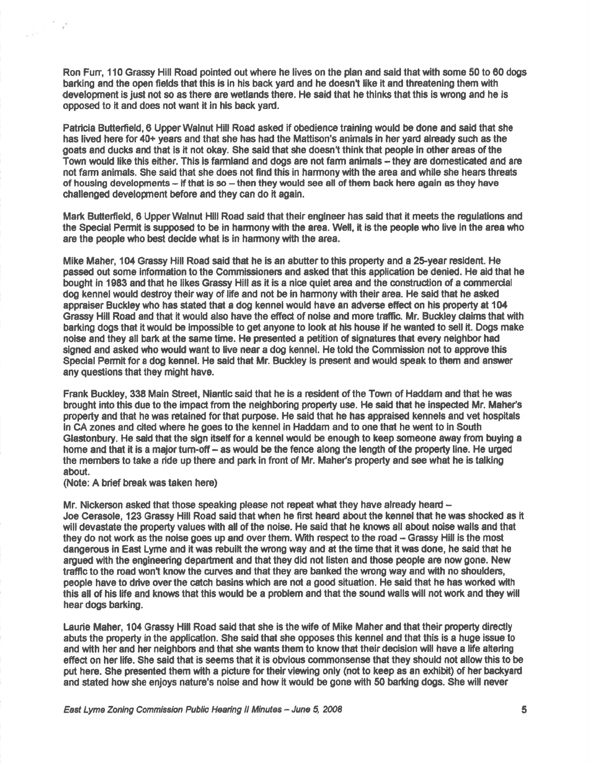Ron Fun, 110 Grassy Hill Road pointed out where he lives on the plan and said that with some 50 to 60 dogs barking and the open fields that this is in his back yard and he doesn't like it and threatening them with development is just not so as there are wetlands there. He said that he thlnks that this is wrong and he is opposed to it and does not want it in his back yard.

Patricia Butterfield, 6 Upper Walnut Hill Road asked if obedience training would be done and said that she has lived here for 40+ years and that she has had the Mattison's animals in her yard already such as the goats end ducks and that is it not okay. She said that she doesn't thlnk that people in other areas of the Town would like this either. This is farmland and dogs are not farm animals – they are domesticated and are not farm animals. She said that she does not find this in harmony with the area and while she hears threats of housing developments – if that is so – then they would see all of them back here again as they have challenged development before and they can do it again.

Mark Butterfeld, 6 Upper Walnut Hill Road said that their engineer has said that it meets the regulations and the Special Permit ls supposed to be in harmony with the area. Well, it is the people who live in the arsa who are the people who best decide what is in harmony with the area.

Mike Maher, 104 Grassy Hill Road said that he is an abutter to this property and a 25-year resident. He passed out some information to the Commissioners and asked that this application be denied. He aid that he bought in 1983 and that he likes Gnassy Hill as it is a nice quiet area and the construdion of a commerdal dog kennel would destroy theirway of life and not be in harmony with their area. He said that he agked appraiser Buckley who has steted that a dog kennel would have an adverse effecf on his property et 104 Grassy Hill Road and that it would also have the effect of noise and more traffic. Mr. Buckley claims that with barking dogs that it would be impossible to get anyone to look at his house if he wanted to sell it. Dogs make noise and they all bark at the same time. He presented a petition of signatures that every neighbor had signed and asked who would want to live near a dog kennel. He told the Commission not to approve this Special Permit for a dog kennel. He said that Mr. Buckley is present and would speak to them and answer any questions that they might have.

Frank Buckley, 338 Main Street, Niantic said that he is a resident of the Town of Haddam and that he was brought into this due to the impact from the neighboring property use. He said that he inspected Mr. Maher's property and that he was retained for that purpose. He said that he has appraised kennels and vet hospitals ln CA zones and cited where he goes to the kennel in Haddam and to one that he went to ln South Glastonbury. He said that the sign itself for a kennel would be enough to keep someone away from buying a home and that it is a major turn-off - as would be the fence along the length of the property line. He urged the members to take a ride up there and park in front of Mr. Maher's property and see what he is talking about.

(Note: A brief break was taken here)

 $\gamma^0$ 

Mr. Nickerson asked that those speaking please not repeat what they have already heard  $-$ Joe Cerasole, 123 Grassy Hlll Road said that when he first heerd about the kennel that he was shocked as it will devastate the property values with all of the noise. He said thet he knows all about noise walls and that they do not work as the noise goes up and over them. With respect to the road - Grassy Hill is the most dangerous in East Lyme and it was rebuilt the wrong way and at the time that it was done, he said that he argued with the engineering department and that they did not listen and those people are now gone. New traffic to the road won't know the curves and that they are banked the wrong way and with no shoulders, people have to drive over the catch basins which are not a good situation. He said that he has worked with this all of his life and knows that this would be a problem and that the sound walls will not work and they will hear dogs barking.

Laurie Maher, 104 Grassy Hill Road said that she is the wife of Mike Maher and that their property directly abuts the property in the applicatlon. She said thet she opposes this kennel and that this is a huge issue to and with her and her neighbors and that she wants them to know that their decision will have a life altering effect on her life. She said that is seems that it is obvious commonsense that they should not allow this to be put here. She presented them with a picture for their viewing only (not to keep as an exhibit) of her backyard and stated how she enjoys nature's noise and how it would be gone with 50 barking dogs. She will never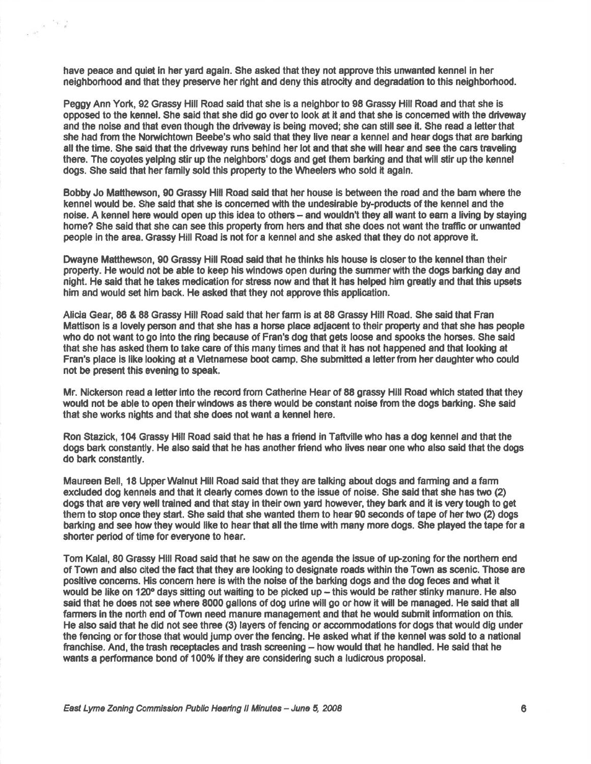have peace and quiet in her yard again. She asked that they not approve this unwanted kennel in her neighborhood and that they preserve her right and deny this atrocity and degradation to this neighborhood.

 $\frac{1}{\epsilon\cdot\sigma_{\rm c}^2}$  is  $-\frac{\sigma_{\rm c}}{2}$  ,  $\frac{\sigma_{\rm c}}{2}$ 

Peggy Ann York, 92 Grassy Hill Road sald that she is a nelghborto 98 Grassy Hill Road and that she is opposed to the kennel. She said that she did go overto look at lt and that she is concemed with the dfueuaay and the noise and that even though the driveway is being moved; she can still see it. She read a letter that she had from the Norwichtown Beebe's who said that they live near a kennel and hear dogs that are barking all the time. She said that the driveway runs behind her lot and that she will hear and see the cars traveling there. The coyotes yelping stir up the neighbors' dogs and get them barking and that will stir up the kennel dogs. She said that her family sold this property to the Wheelers who sold it again.

Bobby Jo Matthewson, 90 Grassy Hill Road said that her house is between the road and the bam where the kennel would be. She sald that she ls concerned with the undeslrable by-produds of the kennel and the noise. A kennel here would open up this idea to others – and wouldn't they all want to earn a living by staying home? She said that she can see this property from hers and that she does not want the traffic or unwanted people ln the area. Grassy Hill Road is not for a kennel and she asked that they do not approve it.

Dwayne Matthewson, 90 Grassy Hill Road said that he thinks his house is closer to the kennel than their property. He would not be able to keep his windows open during the summer with the dogs barking day and night. He sald that he takes medication for stress now and that it has helped him greatly ard that this upsets him and would set him back. He asked that they not approve this application.

Alida Gear, 86 & 88 Grassy Hill Road said that herfam ls at 88 Grassy Hill Road. She said that Fran Mattison is a lovely person and that she has a horse place adiacent to their property and that she has people who do not want to go into the ring because of Fran's dog that gets loose and spooks the horses. She said that she has asked them to take care of this many times and that it has not happened and that looking at Fran's place is like looking at a Vietnamese boot camp. She submitted a letter from her daughter who could not be present this evening to speak,

Mr. Nickerson read a letter into the record from Catherine Hear of 88 grassy Hill Road which stated that they would not be able to open their windows as there would be constant noise from the dogs barking. She said that she works nights and that she does not want a kennel here.

Ron Stazick, 1O4 Grassy Hill Road said that he has a friend in Tafiville who has a dog kennel and that the dogs bark constantly. He also said that he has another friend who lives near one who also said that the dogs do bark constantly.

Maureen Bell, 18 UpperWalnut Hill Road said that they are talking about dogs and farming end a farm excluded dog kennels and that it dearly comes down to the issue of noise. She said that she has two (2) dogs that are very well trained and that stay in their own yard however, they bark and it is very tough to get them to stop once they start. She said that she wanted them to hear 90 seconds of tape of her two (2) dogs barking and see how they would like to hear that all the time with many more dogs. She played the tape for a shorter period of time for everyone to hear.

Tom Kalal, 80 Grassy Hill Road said that he saw on the agenda the issue of up-zoning for the northem end of Town and also cited the fact that they are looking to designate roads within the Town as scenic. Those are positive concems. His concem here is with the noise of the barking dogs and the dog feces and what it would be like on 120º days sitting out waiting to be picked up – this would be rather stinky manure. He also said that he does not see where 8000 gallons of dog urine will go or how it will be managed. He said that all farmes in the north end of Town need manure management and that he would submit information on this. He also said that he did not see three (3) layers of fencing or accommodations for dogs that would dig under the fencing or for those that would jump over the fencing. He asked what if the kennel was sold to a national franchise. And, the trash receptacles and trash screening - how would that he handled. He said that he wants a performance bond of 100% lf they are considering such a ludicrous proposal.